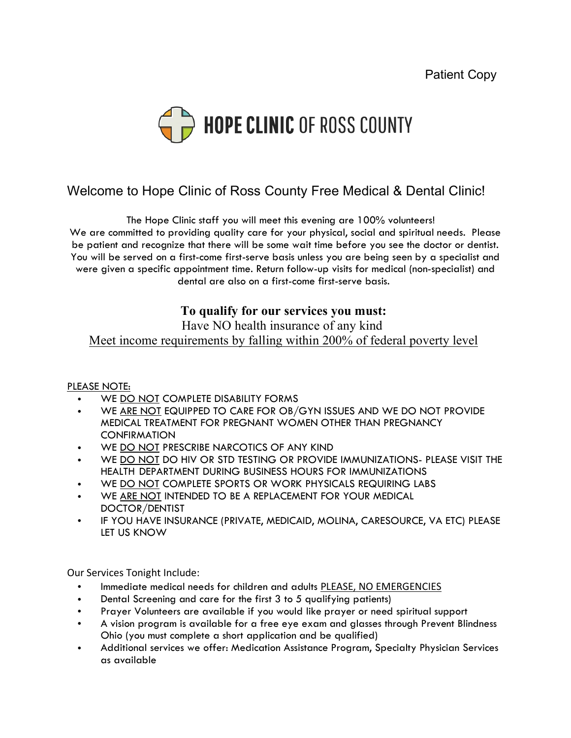

## Welcome to Hope Clinic of Ross County Free Medical & Dental Clinic!

The Hope Clinic staff you will meet this evening are 100% volunteers! We are committed to providing quality care for your physical, social and spiritual needs. Please be patient and recognize that there will be some wait time before you see the doctor or dentist. You will be served on a first-come first-serve basis unless you are being seen by a specialist and were given a specific appointment time. Return follow-up visits for medical (non-specialist) and dental are also on a first-come first-serve basis.

## **To qualify for our services you must:**

Have NO health insurance of any kind

Meet income requirements by falling within 200% of federal poverty level

PLEASE NOTE:

- WE DO NOT COMPLETE DISABILITY FORMS
- WE ARE NOT EQUIPPED TO CARE FOR OB/GYN ISSUES AND WE DO NOT PROVIDE MEDICAL TREATMENT FOR PREGNANT WOMEN OTHER THAN PREGNANCY **CONFIRMATION**
- WE DO NOT PRESCRIBE NARCOTICS OF ANY KIND
- WE DO NOT DO HIV OR STD TESTING OR PROVIDE IMMUNIZATIONS- PLEASE VISIT THE HEALTH DEPARTMENT DURING BUSINESS HOURS FOR IMMUNIZATIONS
- WE DO NOT COMPLETE SPORTS OR WORK PHYSICALS REQUIRING LABS
- WE ARE NOT INTENDED TO BE A REPLACEMENT FOR YOUR MEDICAL DOCTOR/DENTIST
- IF YOU HAVE INSURANCE (PRIVATE, MEDICAID, MOLINA, CARESOURCE, VA ETC) PLEASE LET US KNOW

Our Services Tonight Include:

- Immediate medical needs for children and adults PLEASE, NO EMERGENCIES
- Dental Screening and care for the first 3 to 5 qualifying patients)
- Prayer Volunteers are available if you would like prayer or need spiritual support
- A vision program is available for a free eye exam and glasses through Prevent Blindness Ohio (you must complete a short application and be qualified)
- Additional services we offer: Medication Assistance Program, Specialty Physician Services as available